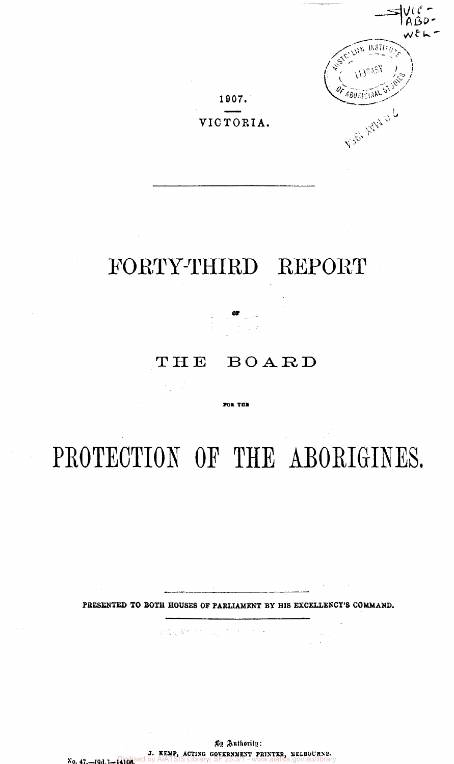15877 777 480 RIGIN V.S.C. HVA O L

# **VICTORIA.**

**1D07.** 

# FORTY-THIRD REPORT

# THE BOARD

FOR THE

# PROTECTION OF THE ABORIGINES.

**PRESENTED TO BOTH HOUSES OF PARLIAMENT BY HIS EXCELLENCY'S COMMAND.** 

 $\label{eq:Ricci} \mathcal{L}(\hat{\mathbf{X}},\mathbf{h}_1|\hat{\mathbf{X}}^{(k-1,2)}),\mathcal{L}(\mathbf{h}_1,\mathbf{h}_2,\mathbf{h}_3) \in \mathbb{R}^{N \times 1}$ 

**No. 47.—[9d.]-14106. By Authority:**  J. KENP, ACTING GOVERNMENT PRINTER, NELBOURNE.<br>**Qidh**ised by AIATSIS Library, SF 25.3/1 - www.aiatsis.gov.au/library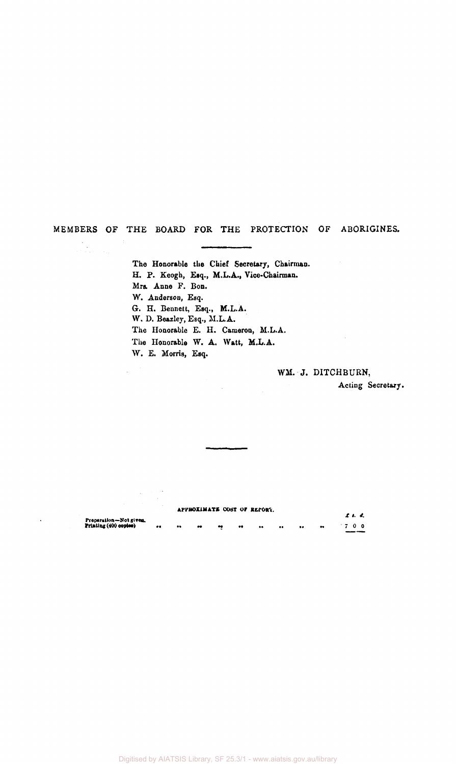### **MEMBERS OF THE BOARD FOR THE PROTECTION OF ABORIGINES.**

 $\frac{1}{2}$ 

**The Honorable the Chief Secretary, Chairman. H. P. Keogh, Esq., M.L.A., Vice-Chairman. Mrs. Anne F. Bon. W. Anderson, Esq. G. H. Bennett, Esq., M.L.A. W, D. Beazley, Esq., M.L.A. The Honorable E. H. Cameron, M.L.A. The Honorable W. A. Watt, M.L.A. W. E. Morris, Esq.** 

# **WM. J. DITCHBURN,**

**Acting Secretary.** 

**APPROX1MATE COST** *OF* **REPORT**  *£. s. d.*  **Preparation—Not given. Printing (400 copies) 7 0 0**   $\bullet$  $\bullet\bullet$  $\ddot{\phantom{a}}$  $\bullet$  $\bullet$  $\ddot{\bullet}$  $\ddot{\phantom{a}}$  $\mathbf{a}$  $\bullet\bullet$ 

Ñ,

Digitised by AIATSIS Library, SF 25.3/1 - www.aiatsis.gov.au/library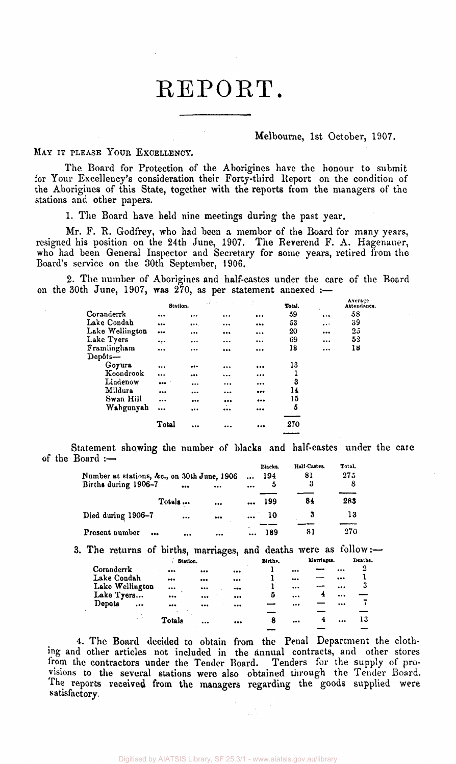# REPORT.

#### Melbourne, 1st October, 1907.

MAY IT PLEASE YOUR EXCELLENCY.

The Board for Protection of the Aborigines have the honour to submit for Your Excellency's consideration their Forty-third Report on the condition of the Aborigines of this State, together with the reports from the managers of the stations and other papers.

1. The Board have held nine meetings during the past year.

Mr. F. R. Godfrey, who had been a member of the Board for many years, resigned his position on the 24th June, 1907. The Reverend F. A. Hagenauer, who had been General Inspector and Secretary for some years, retired from the Board's service on the 30th September, 1906.

2. The number of Aborigines and half-castes under the care of the Board on the 30th June, 1907, was  $270$ , as per statement annexed :-

|                 | <b>Station.</b>         |          |                         |          | Total. |          | Атегате<br>Attendance. |
|-----------------|-------------------------|----------|-------------------------|----------|--------|----------|------------------------|
| Coranderrk      |                         |          |                         |          | 59     | $\cdots$ | 58                     |
| Lake Condah     |                         | $\cdots$ |                         |          | 53     | $\cdots$ | 39                     |
| Lake Wellington | $\bullet\bullet\bullet$ |          |                         | $\cdots$ | 20     |          | 25                     |
| Lake Tyers      |                         |          |                         |          | 69     |          | 52                     |
| Framlingham     |                         | $\cdots$ | $\bullet\bullet\bullet$ |          | 18     |          | 18                     |
| Depôts-         |                         |          |                         |          |        |          |                        |
| Goyura          |                         |          |                         |          | 13     |          |                        |
| Koondrook       | $\cdots$                |          | $\cdots$                |          |        |          |                        |
| Lindenow        |                         |          |                         |          | 3      |          |                        |
| Mildura         |                         |          |                         |          | 14     |          |                        |
| Swan Hill       |                         |          |                         |          | 15     |          |                        |
| Wahgunyah       |                         |          |                         |          | 5      |          |                        |
|                 |                         |          |                         |          |        |          |                        |
|                 | Total                   |          |                         |          | 270    |          |                        |
|                 |                         |          |                         |          |        |          |                        |

Statement showing the number of blacks and half-castes under the care of the Board :— Hall-Castes.

|                                             |        |          |          | Blacks. | Half-Castes | Total. |
|---------------------------------------------|--------|----------|----------|---------|-------------|--------|
| Number at stations, &c., on 30th June, 1906 |        |          | $\cdots$ | 194     | 81          | 275    |
| Births during 1906-7                        |        | $\cdots$ |          | 5       | 3           | 8      |
|                                             | Totals | $\cdots$ |          | 199     | 84          | 283    |
| Died during 1906-7                          |        |          |          | 10      |             | 13     |
| Present number<br>                          |        |          |          | 189     | 81          | 270    |

3. The returns of births, marriages, and deaths were as follow:—

|                     | Station. |                         |                         | Births. |                         | Marriages. |                         | Deaths. |
|---------------------|----------|-------------------------|-------------------------|---------|-------------------------|------------|-------------------------|---------|
| Coranderrk          |          |                         | $\bullet\bullet\bullet$ |         | $\bullet\bullet\bullet$ |            |                         | 2       |
| Lake Condah         |          | $\bullet\bullet\bullet$ | $\cdots$                |         |                         |            | $\bullet\bullet\bullet$ |         |
| Lake Wellington     |          | $\bullet\bullet\bullet$ | $$                      |         | $\cdots$                |            |                         | 3       |
| Lake Tyers          | $\cdots$ | $$                      |                         | 5       | $\cdots$                | 4          |                         |         |
| Depots<br>$\ddotsc$ |          |                         |                         |         |                         |            |                         |         |
|                     |          |                         |                         |         |                         |            |                         |         |
|                     | Totals   |                         |                         | 8       |                         | 4          |                         | 13      |
|                     |          |                         |                         |         |                         |            |                         |         |

4. The Board decided to obtain from the Penal Department the clothing and other articles not included in the annual contracts, and other stores from the contractors under the Tender Board. Tenders for the supply of provisions to the several stations were also obtained through the Tender Board. The reports received from the managers regarding the goods supplied were satisfactory,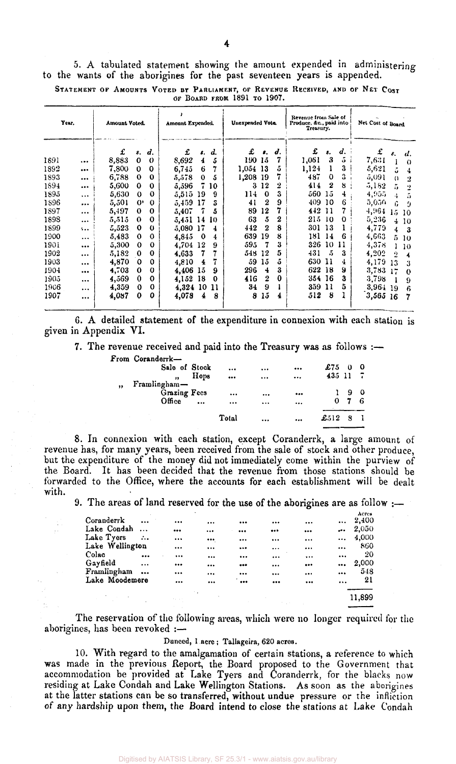5. A tabulated statement showing the amount expended in administering to the wants of the aborigines for the past seventeen years is appended. STATEMENT OF AMOUNTS VOTED BY PARLIAMENT, OF REVENUE RECEIVED, AND OF NET COST

|  |  | OF BOARD FROM 1891 TO 1907. |  |  |
|--|--|-----------------------------|--|--|

| Year. |          | Amount Voted. |             |                       | Amount Expended. |     |    | Unexpended Vote. |                  | Revenue from Sale of<br>Produce, &c., paid into<br>Treasury. |       |                      | Net Cost of Board  |                                     |
|-------|----------|---------------|-------------|-----------------------|------------------|-----|----|------------------|------------------|--------------------------------------------------------------|-------|----------------------|--------------------|-------------------------------------|
|       |          | £             | \$.         | d.                    | £                | \$. | d. | £                | 8.               | d.                                                           | £     | s.                   | $\boldsymbol{d}$ . | £<br>$\boldsymbol{d}$ .<br>ε.       |
| 1891  |          | 8,883         | $\bf{0}$    | $\boldsymbol{\theta}$ | 8,692            | 4   | 5  | 190              | 15               | 7                                                            | 1,061 | 3                    | 5                  | 7,631<br>$\Omega$                   |
| 1892  |          | 7,800         | 0           | $\bf{0}$              | 6,745            | 6   | 7  | 1,054            | -13              | 5                                                            | 1,124 |                      | 3                  | 5,621<br>ã<br>4                     |
| 1893  |          | 6,788         | $\mathbf 0$ | 0                     | 5,578            | 0   | 5  | 1,208            | -19              |                                                              | 487   | $\bf{0}$             | 3                  | 5,091<br>$\overline{2}$<br>$\Omega$ |
| 1894  |          | 5,600         | $\mathbf 0$ | 0                     | 5,596            | 7   | 10 | 3                | 12               | 2                                                            | 414   | 2                    | 8                  | 5.182<br>5<br>2                     |
| 1895  | $\cdots$ | 5,630         | $\Omega$    | 0                     | 5,515            | 19  | 9  | 114              | 0                | 3                                                            | 560   | 15                   | 4                  | 4,955<br>5<br>4                     |
| 1896  |          | 5,501         | $^{\circ}$  | $\bf{0}$              | 5,459            | 17  | 3  | 41               | $\boldsymbol{2}$ | 9                                                            | 409   | 10                   | 6                  | 5,050<br>ĥ.<br>9                    |
| 1897  | $\cdots$ | 5,497         | 0           | 0                     | 5,407            | 7   | 5  | 89               | 12               |                                                              | 442   | 11                   | 7                  | 4.964<br>15<br>10                   |
| 1898  | $\cdots$ | 5,515         | $\Omega$    | 0                     | 5,451            | 14  | 10 | 63               | 5                | 2                                                            | 215   | 10                   | $\Omega$           | 5,236<br>4<br>10                    |
| 1899  | $\ddots$ | 5,523         | 0           | $\bf{0}$              | 5,080            | 17  | 4  | 442              | $\bf{2}$         | 8                                                            | 301   | 13                   |                    | 4,779<br>4<br>3                     |
| 1900  | $\cdots$ | 5,483         | $\Omega$    | $\Omega$              | 4,845            | 0   | 4  | 639              | 19               | 8                                                            | 181   | 14                   | 6                  | 4,663<br>5.<br>10                   |
| 190i  |          | 5,300         | 0           | $\Omega$              | 4.704            | 12  | 9  | 595              | 7                | 3                                                            | 326   | 10                   | 11                 | 4,378<br>10<br>L                    |
| 1902  |          | 5,182         | 0           | 0                     | 4,633            | 7   | 7  | 548              | 12               | 5                                                            | 431   | $\tilde{\mathbf{a}}$ | 3                  | 4.202<br>$\boldsymbol{2}$<br>4      |
| 1903  | $\cdots$ | 4,870         | 0           | 0                     | 4,810            | 4   | 7  | 59               | 15               | ő                                                            | 630   | 11                   | 4                  | 4.179<br>13<br>3                    |
| 1904  | $\cdots$ | 4,703         | $\Omega$    | 0                     | 4,406            | 15  | 9  | 296              | 4                | 3                                                            | 622   | 18                   | 9                  | 3,783<br>$\Omega$                   |
| 1905  | $\cdots$ | 4,569         | 0           | $\bf{0}$              | 4.152            | 18  | 0  | 416              | $\boldsymbol{2}$ | 0                                                            | 354   | 16                   | 3                  | 3,798<br>9                          |
| 1906  | $\cdots$ | 4,359         | $\bf{0}$    | 0                     | 4,324            | 10  | 11 | 34               | 9                |                                                              | 359   | 11                   | 5                  | 3,964<br>19<br>6                    |
| 1907  | $\cdots$ | 4,087         | 0           | Ω                     | 4,078            | 4   | 8  | 8                | 15               | 4                                                            | 512   | 8                    |                    | $3,565$ 16<br>7                     |

6. A detailed statement of the expenditure in connexion with each station is given in Appendix VI.

7. The revenue received and paid into the Treasury was as follows :—

|    | From Coranderrk- |           |          |          |                         |            |   |    |
|----|------------------|-----------|----------|----------|-------------------------|------------|---|----|
|    | Sale of Stock    |           | $\cdots$ |          |                         | £75        |   | -0 |
|    | ,,               | Hops      |          |          |                         | $435$ 11 7 |   |    |
| ,, | Framlingham-     |           |          |          |                         |            |   |    |
|    | Grazing Fees     |           |          |          | $\bullet\bullet\bullet$ |            | 9 |    |
|    | Office           | $\ddotsc$ |          | $\cdots$ | $\cdots$                | 0          |   | 6  |
|    |                  |           | Total    |          |                         | £512       |   |    |

8. In connexion with each station, except Coranderrk, a large amount of revenue has, for many years, been received from the sale of stock and other produce, but the expenditure of the money did not immediately come within the purview of the Board. It has been decided that the revenue from those stations should be forwarded to the Office, where the accounts for each establishment will be dealt with.

9. The areas of land reserved for the use of the aborigines are as follow :—

| Coranderrk      | $\ddotsc$ |          |          |                         |                         | <br>$\cdots$                | Acres<br>2,400 |
|-----------------|-----------|----------|----------|-------------------------|-------------------------|-----------------------------|----------------|
| Lake Condah     |           |          |          | $\bullet\bullet\bullet$ |                         | <br>ه مو                    | 2,050          |
| Lake Tyers      | $\ldots$  | $\cdots$ | $\cdots$ |                         |                         | <br>$\cdots$                | 4,000          |
| Lake Wellington |           | $\cdots$ | $\cdots$ |                         |                         | <br>                        | 860            |
| Colac           | $\ddotsc$ |          | $\cdots$ | $\cdots$                | $\cdots$                | <br>                        | 20             |
| Gayfield        | $\ddotsc$ | $\cdots$ |          |                         |                         | <br>$\bullet\bullet\bullet$ | 2,000          |
| Framlingham     | $\cdots$  |          |          |                         |                         | <br>                        | 548            |
| Lake Moodemere  |           |          |          | $\bullet\bullet\bullet$ | $\bullet\bullet\bullet$ | <br>$\cdots$                | 21             |
|                 |           |          |          |                         |                         |                             | 11,899         |

The reservation of the following areas, which were no longer required for the aborigines, has been revoked :—

#### Duneed, 1 acre ; Tallageira, 620 acres.

10. With regard to the amalgamation of certain stations, a reference to which was made in the previous Report, the Board proposed to the Government that accommodation be provided at Lake Tyers and Coranderrk, for the blacks now residing at Lake Condah and Lake Wellington Stations. As soon as the aborigines at the latter stations can be so transferred, without undue pressure or the infliction of any hardship upon them, the Board intend to close the stations at Lake Condah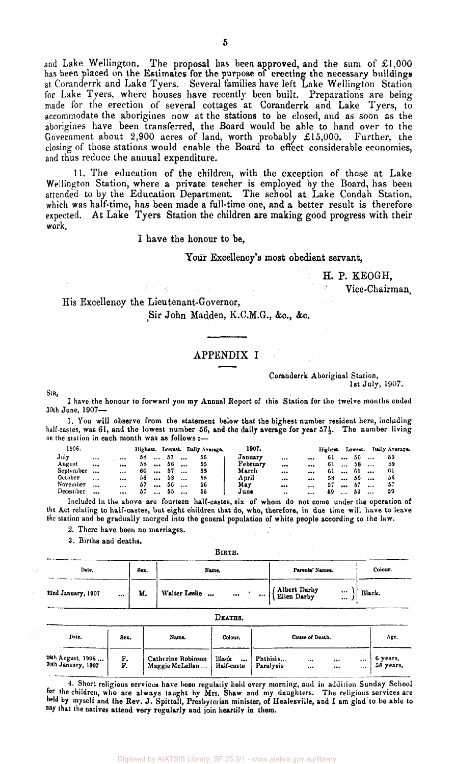and Lake Wellington. The proposal has been approved, and the sum of  $£1,000$ has been placed on the Estimates for the purpose of erecting the necessary buildings at Coranderrk and Lake Tyers. Several families have left Lake Wellington Station for Lake Tyers, where houses have recently been built. Preparations are being made for the erection of several cottages at Coranderrk and Lake Tyers, to accommodate the aborigines now at the stations to be closed, and as soon as the aborigines have been transferred, the Board would be able to hand over to the Government about 2,900 acres of land, worth probably  $\pounds15,000$ . Further, the closing of those stations would enable the Board to effect considerable economies, and thus reduce the annual expenditure.

11. The education of the children, with the exception of those at Lake Wellington Station, where a private teacher is employed by the Board, has been attended to by the Education Department. The school at Lake Condah Station, which was half-time, has been made a full-time one, and a better result is therefore expected. At Lake Tyers Station the children are making good progress with their work.

I have the honour to be,

Your Excellency's most obedient servant,

H. P. KEOGH, Vice-Chairman

# His Excellency the Lieutenant-Governor, Sir John Madden, K.C.M.G., &c, &c.

最大の特に

#### APPENDIX I

Coranderrk Aboriginal Station, 1st July, 1907.

SIR,

I have the honour to forward you my Annual Report of this Station for the twelve months ended 30th June, 1907—

1. You will observe from the statement below that the highest number resident here, including half-castes, was 61, and the lowest number 56, and the daily average for year  $57\frac{1}{2}$ . The number living on the station in each month was as follows :—

| 1906.     |           |          |     |           |             |           | Highest. Lowest. Daily Average. | 1907.    |                      |          | Highest. Lowest. |           |     |           | Daily Average. |
|-----------|-----------|----------|-----|-----------|-------------|-----------|---------------------------------|----------|----------------------|----------|------------------|-----------|-----|-----------|----------------|
| July      | $\cdots$  | $\cdots$ | 58. |           | $\ldots$ 57 | $\cdots$  | 56                              | January  | $\cdots$             |          | -61              | $\ddotsc$ | -56 | $\cdots$  | 59             |
| August    | $\cdots$  | $\cdots$ | 53. | $\cdots$  | 56          | $\cdots$  | -55                             | February |                      | $\cdots$ | 61.              | $\cdots$  | 58  | $\cdots$  | 59             |
| September | $\cdots$  | $\cdots$ | 60  | $\ddotsc$ | 57          | $\cdots$  | 55                              | March    | $$                   |          | 61               | $\cdots$  | -61 | $\ddotsc$ | -61            |
| October   | $\cdots$  |          | 58  | $\ddotsc$ | 58          | $\ddotsc$ | -58                             | April    |                      |          | 58               | $\ddotsc$ | 56  | $\cdots$  | 56             |
| November  | $\ddotsc$ | $\cdots$ | 57  | $\cdots$  | 56          | $\ddotsc$ | 56                              | May      |                      | $\cdots$ | 57.              | $\ddotsc$ | -57 | $\cdots$  | 57             |
| December  | $\cdots$  | $\cdots$ | 57  | $\ddotsc$ | 55          | $\ddotsc$ | 56                              | June     | $\ddot{\phantom{a}}$ | $\cdots$ | 59.              | $\ddotsc$ | 59  | $\cdots$  | -59            |

Included in the above are fourteen half-castes, six of whom do not come under the operation of the Act relating to half-castes, but eight children that do, who, therefore, in due time will have to leave the station and be gradually merged into the general population of white people according to the law.

2. There have been no marriages.

3. Births and deaths.

BIRTH.

| Date.                  | Sex. | Name.                                 | Parents' Names.                         | Colour. |
|------------------------|------|---------------------------------------|-----------------------------------------|---------|
| 22nd January, 1907<br> | М.   | Walter Leslie<br>$\cdots$<br>$\cdots$ | (Albert Darby)<br>(Ellen Darby)<br><br> | Black.  |

| <b>DEATES</b><br>ı. |
|---------------------|
|---------------------|

| Date.                                      | Sex.     | Name.                                 | Colour.                         |                       | Cause of Death. |              | Age.                  |
|--------------------------------------------|----------|---------------------------------------|---------------------------------|-----------------------|-----------------|--------------|-----------------------|
| 28th August, 1906  "<br>20th January, 1907 | F.<br>F. | Catherine Robinson<br>Maggie McLellan | Black<br>$\cdots$<br>Half-caste | Phthisis<br>Paralysis | <br>$\cdots$    | <br><br><br> | 6 years.<br>58 years. |

4. Short religious services have been regularly held every morning, and in addition Sunday School for the children, who are always taught by Mrs. Shaw and my daughters. The religious services are held by myself and the Rev. J. Spittall, Presbyterian minister, of Healesville, and I am glad to be able to say that the natives attend very regularly and join heartily in them.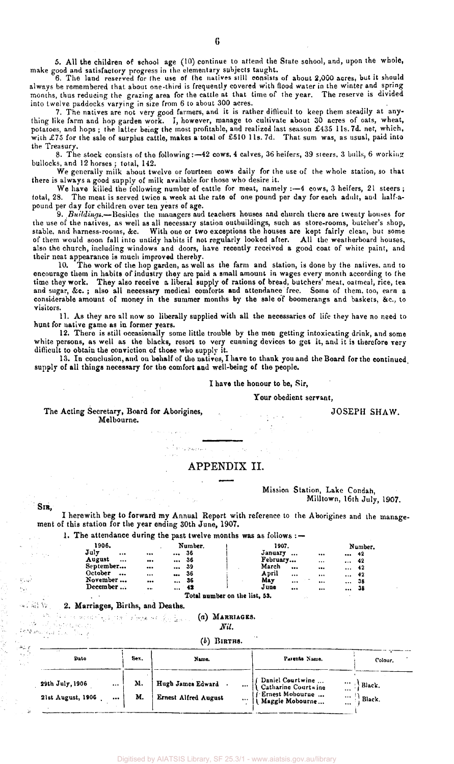5. All the children of school age (10) continue to attend the State school, and, upon the whole, make good and satisfactory progress in the elementary subjects taught.

6. The land reserved for the use of the natives still consists of about 2,000 acres, but it should always be remembered that about one-third is frequently covered with flood water in the winter and spring months, thus reducing the grazing area for the cattle at that time of the year. The reserve is divided into twelve paddocks varying in size from 6 to about 300 acres.

7. The natives are not very good farmers, and it is rather difficult to keep them steadily at anything like farm and hop garden work. I, however, manage to cultivate about 30 acres of oats, wheat, potatoes, and hops; the latter being the most profitable, and realized last season £435 lls.7d. net, which, with £75 for the sale of surplus cattle, makes a total of £510 11s. 7d. That sum was, as usual, paid into the Treasury.

8. The stock consists of the following:—42 cows, 4 calves, 36 heifers, 39 steers. 3 bulls, 6 working bullocks, and 12 horses; total, 142.

We generally milk about twelve or fourteen cows daily for the use of the whole station, so that there is always a good supply of milk available for those who desire it.

We have killed the following number of cattle for meat, namely :- 4 cows, 3 heifers, 21 steers; total, 28. The meat is served twice a week at the rate of one pound per day for each adult, and half-apound per day for children over ten years of age.

9. Buildings.-Besides the managers and teachers houses and church there are twenty houses for the use of the natives, as well as all necessary station outbuildings, such as store-rooms, butcher's shop, stable, and harness-rooms, &c. With one or two exceptions the houses are kept fairly clean, but some of them would soon fall into untidy habits if not regularly looked after. All the weatherboard houses, also the church, including windows and doors, have recently received a good coat of white paint, and their neat appearance is much improved thereby.

10. The work of the hop garden, as well as the farm and station, is done by the natives, and to encourage them in habits of industry they are paid a small amount in wages every month according to (he time they work. They also receive a liberal supply of rations of bread, butchers' meat, oatmeal, rice, tea and sugar, &c. ; also all necessary medical comforts and attendance free. Some of them, too, earn a considerable amount of money in the summer months by the sale of boomerangs and baskets, &c., to visitors.

11. As they are all now so liberally supplied with all the necessaries of life they have no need to hunt for native game as in former years.

12. There is still occasionally some little trouble by the men getting intoxicating drink, and some white persons, as well as the blacks, resort to very cunning devices to get it, and it is therefore very difficult to obtain the conviction of those who supply it.

13. In conclusion, and on behalf of the natives, I have to thank you and the Board for the continued supply of all things necessary for the comfort and well-being of the people.

#### I have the honour to be, Sir,

Your obedient servant.

The Acting Secretary, Board for Aborigines, Melbourne.

JOSEPH SHAW.

## APPENDIX II.

#### Mission Station, Lake Condah, Milltown, 16th July, 1907.

SIR,

 $\mathcal{A}=\mathcal{A}$  ,

v.ul  $\sim 10$ 

I herewith beg to forward my Annual Report with reference to the Aborigines and the management of this station for the year ending 30th June, 1907.

1. The attendance during the past twelve months was as follows :  $-$ 

 $\mathcal{V}^{(1)}\left(\mathcal{E}\right)$  (Signal expansion)

| 1906.              |                         | Number.                        | 1907.           |          | Number.          |
|--------------------|-------------------------|--------------------------------|-----------------|----------|------------------|
| July<br>$\cdots$   |                         | -36<br>$\cdots$                | January         | $\cdots$ | $\cdots$ 42      |
| August<br>$\cdots$ |                         | -36<br>$\cdots$                | February        |          | - 42<br>$\cdots$ |
| September          | $\bullet\bullet\bullet$ | -39<br>$\cdots$                | March<br>       |          | -42<br>$\cdots$  |
| October<br>$-0.05$ | $\cdots$                | -36<br>$\bullet\bullet\bullet$ | April<br>       |          | 42<br>$\cdots$   |
| November           |                         | -36<br>$\cdots$                | May<br>$\cdots$ |          | -38<br>$\cdots$  |
| December           | $\cdots$                | $\ldots$ 42                    | June<br>        | $\cdots$ | 38<br>$\cdots$   |

Total number on the list, S3.

# $\omega \in \mathbb{R}^{3}_{0,1}$  . We 2. Marriages, Births, and Deaths.

(a) MARRIAGES.

*Nil.* 

#### $(b)$  BIRTHS.

| $\sim$ $\sim$<br>Date                        | Sex.     | Name.                                                        | Parents Name.                                                                                                           | Colour.          |
|----------------------------------------------|----------|--------------------------------------------------------------|-------------------------------------------------------------------------------------------------------------------------|------------------|
| 29th July, 1906<br><br>21st August, 1906<br> | M.<br>М. | Hugh James Edward<br><b>Ernest Alfred August</b><br>$\cdots$ | Daniel Courtwine<br>Catharine Courtwine<br>$\cdots$<br><br>$\hat{f}$ Ernest Mobourne<br>$\cdots$<br>Maggie Mobourne<br> | Black.<br>Black. |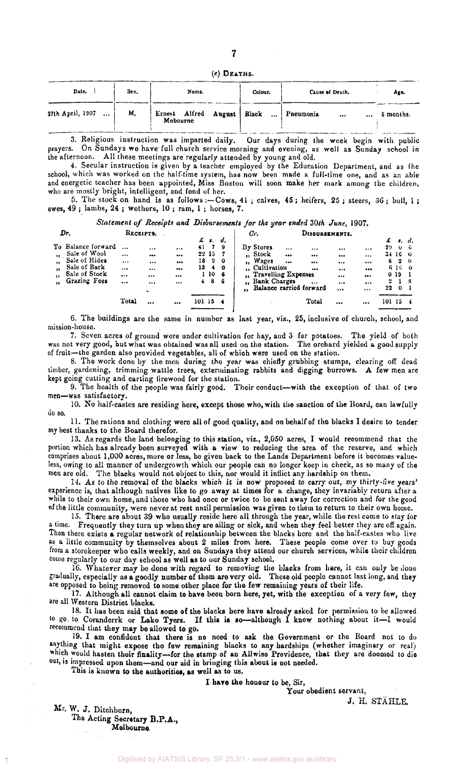$(c)$  DEATHS.

| Date.            | Sex. | Name.                                             | Colour. | Cause of Death. | Age.      |
|------------------|------|---------------------------------------------------|---------|-----------------|-----------|
| 27th April, 1907 | M,   | Ernest Alfred August Black  Pneumonia<br>Mobourne |         | $\cdots$<br>    | S months. |

3. Religious instruction was imparted daily. Our days during the week begin with public prayers. On Sundays we have full church service morning and evening, as well as Sunday school in the afternoon. All these meetings are regularly attended by young and old.

4. Secular instruction is given by a teacher employed by the Education Department, and as the school, which was worked on the half-time system, has now been made a full-time one, and as an able and energetic teacher has been appointed, Miss Boston will soon make her mark among the children, who are mostly bright, intelligent, and fond of her.

5. The stock on hand is as follows :—Cows, 41 ; calves, 45 ; heifers, 25 ; steers, 36; bull, 1 ; ewes, 49 ; lambs, 24 ; wethers, 10 ; ram, 1 ; horses, 7.

# *Statement of Receipts and Disbursements for the year ended 30th June,* 1907.

 $\mathbf{1}$ *Or.*  **DISBURSEMENTS** 

| ---                           | ---------- |                         |                   |       |                          | $\cdots$                                |          | _                       |          |                         |     |                |            |
|-------------------------------|------------|-------------------------|-------------------|-------|--------------------------|-----------------------------------------|----------|-------------------------|----------|-------------------------|-----|----------------|------------|
|                               |            |                         | £                 | л.    | d.                       |                                         |          |                         |          |                         | £   | $\mathbf{f}$ . |            |
| To Balance forward            |            |                         | <br>41            | - 7   | - 9                      | By Stores                               | $\cdots$ | $\cdots$                |          |                         | 29  | $\theta$       | -6         |
| Sale of Wool<br>$\bullet$     |            | $\bullet\bullet\bullet$ |                   | 22 15 |                          | "Stock                                  |          |                         |          |                         |     | 34 16 0        |            |
| Sale of Hides<br>$\bullet$    | $\cdots$   |                         | <br>18            | 9     | - 0                      | Wages<br>,,                             |          | $\cdots$                | $\cdots$ |                         | 6   | 2              | - 0        |
| Sale of Bark<br>$\bullet$     |            | $\cdots$                | <br>13            | 4     | - 0                      | ,, Cultivation                          |          | $\bullet\bullet\bullet$ | $\cdots$ | $\bullet\bullet\bullet$ |     | 6-16-          | $^{\circ}$ |
| Sale of Stock<br>$\mathbf{H}$ |            |                         |                   | - 10  | - 6                      | <b>Travelling Expenses</b><br>$\bullet$ |          |                         |          |                         |     | 0 19           |            |
| Grazing Fees<br>$\bullet$     | $\cdots$   | $\cdots$                | <br>$\frac{1}{2}$ | 8     | - 6                      | <b>Bank Charges</b><br>$\bullet$        |          |                         |          | $\cdots$                | 2   |                |            |
|                               |            | $\bullet$               |                   |       |                          | Balance carried forward<br>$^{\bullet}$ |          |                         |          |                         | 22  | $\mathbf{o}$   |            |
|                               |            |                         |                   |       |                          |                                         |          |                         |          |                         |     |                |            |
|                               | Total      |                         | <br>101           | -15   | $\overline{\phantom{a}}$ |                                         |          | Total                   |          |                         | 101 | 15             |            |
|                               |            |                         |                   |       |                          |                                         |          |                         |          |                         |     |                |            |

6. The buildings are the same in number as last year, viz., 25, inclusive of church, school, and mission-house.

7. Seven acres of ground were under cultivation for hay, and 3 for potatoes. The yield of both was not very good, but what was obtained was all used on the station. The orchard yielded a good supply of fruit—the garden also provided vegetables, all of which were used on the station.

8. The work done by the men during the year was chiefly grubbing stumps, clearing off dead timber, gardening, trimming wattle trees, exterminating rabbits and digging burrows. A few men are kept going cutting and carting firewood for the station.

9. The health of the people was fairly good. Their conduct—with the exception of that of two men—was satisfactory.

10. No half-castes are residing here, except those who, with the sanction of the Board, can lawfully do so.

11. The rations and clothing were all of good quality, and on behalf of the blacks I desire to tender my best thanks to the Board therefor.

13. As regards the land belonging to this station, viz., 2,050 acres, I would recommend that the portion which has already been surveyed with a view to reducing the area of the reserve, and which comprises about 1,000 acres, more or less, be given back to the Lands Department before it becomes valueless, owing to all manner of undergrowth which our people can no longer keep in check, as so many of the men are old. The blacks would not object to this, nor would it inflict any hardship on them.

14. As to the removal of the blacks which it is now proposed to carry out, my thirty-five years' experience is, that although natives like to go away at times for a change, they invariably return after a while to their own home, and those who had once or twice to be sent away for correction and for the good of the little community, were never at rest until permission was given to them to return to their own home.

15. There are about 39 who usually reside here all through the year, while the rest come to slay for a time. Frequently they turn up when they are ailing or sick, and when they feel better they are off again. Then there exists a regular network of relationship between the blacks here and the half-castes who live as a little community by themselves about 2 miles from here. These people come over to buy goods from a storekeeper who calls weekly, and on Sundays they attend our church services, while their children come regularly to our day school as well as to our Sunday school.

16. Whatever may be done with regard to removing the blacks from here, it can only be done gradually, especially as a goodly number of them are very old. Those old people cannot last long, and they are opposed to being removed to some other place for the few remaining years of their life.

17. Although all cannot claim to have been born here, yet, with the exception of a very few, they are all Western District blacks.

13. It has been said that some of the blacks here have already asked for permission to be allowed to go to Coranderrk or Lake Tyers. If this is so—although I know nothing about it—I would recommend that they may be allowed to go.

19. I am confident that there is no need to ask the Government or the Board not to do anything that might expose the few remaining blacks to any hardships (whether imaginary or real) which would hasten their finality—for the stamp of an Allwise Providence, that they are doomed to die out, is impressed upon them—and our aid in bringing this about is not needed.

This is known to the authorities, as well as to us.

**I have** the honour to be, Sir,

Your obedient servant,

J. H. STAHLE.

Mr, W. J. Ditchburn, The Acting Secretary B.P.A., Melbourne,

*Dr.* RECEIPTS.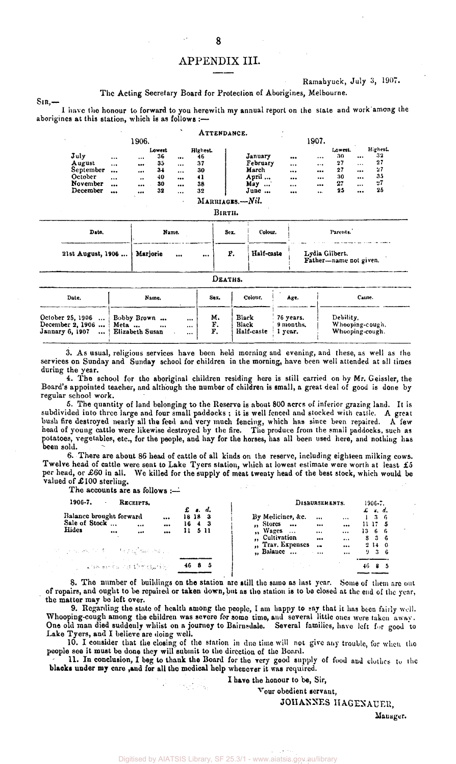# APPENDIX III.

**Ramabyuck, July 3, 1907.** 

#### **The Acting Secretary Board for Protection of Aborigines, Melbourne.**

**I have the honour to forward to you herewith my annual report on the state and work among the aborigines at this station, which is as follows :—** 

|                                                                |                                                        |                                                                                                |                                              | ۰                                            |                                              | ATTENDANCE.               |                                                      | $\Delta$                                                                   |                                                             |                                             |                                                      |                                              |  |
|----------------------------------------------------------------|--------------------------------------------------------|------------------------------------------------------------------------------------------------|----------------------------------------------|----------------------------------------------|----------------------------------------------|---------------------------|------------------------------------------------------|----------------------------------------------------------------------------|-------------------------------------------------------------|---------------------------------------------|------------------------------------------------------|----------------------------------------------|--|
|                                                                |                                                        | 1906.                                                                                          |                                              |                                              |                                              |                           |                                                      |                                                                            | 1907.                                                       |                                             |                                                      |                                              |  |
| July<br>August<br>September<br>October<br>November<br>December | $\cdots$<br>$\cdots$<br><br>$\ddotsc$<br>$\ddotsc$<br> | $\cdots$<br><br>$\bullet\bullet\bullet$<br>$\ddot{\phantom{0}}$<br><br>$\bullet\bullet\bullet$ | Lowest<br>36<br>35<br>$3+$<br>40<br>30<br>32 | <br><br>$\cdots$<br>$\cdots$<br><br>$\cdots$ | Highest.<br>46<br>37<br>30<br>41<br>38<br>32 |                           | January<br>February<br>March<br>April<br>May<br>June | $\bullet\bullet\bullet$<br>$\cdots$<br><br><br><br>$\bullet\bullet\bullet$ | $\cdots$<br>$\cdots$<br><br><br><br>$\bullet\bullet\bullet$ | Lowest.<br>30<br>27<br>27<br>30<br>27<br>25 | <br>$\cdots$<br>$\cdots$<br><br>$\cdots$<br>$\cdots$ | Highest.<br>32<br>27<br>27<br>35<br>27<br>25 |  |
|                                                                |                                                        |                                                                                                |                                              | $\ddot{\phantom{1}}$                         |                                              | MARRIAGES.-Nil.<br>BIRTH. |                                                      |                                                                            |                                                             |                                             |                                                      |                                              |  |
| Date.                                                          |                                                        |                                                                                                | Name.                                        |                                              |                                              | Sex.                      | Colour.                                              |                                                                            |                                                             | Parents.                                    |                                                      |                                              |  |

| 21st August, 1906                                                    | Mariorie<br>$\cdots$                               | $\cdots$ | F.             | Half-caste                   |                                   | Lydia Gilbert.<br>Father-name not given.        |  |
|----------------------------------------------------------------------|----------------------------------------------------|----------|----------------|------------------------------|-----------------------------------|-------------------------------------------------|--|
|                                                                      |                                                    |          | DEATHS.        |                              |                                   |                                                 |  |
| Date.                                                                | Name.                                              |          | Sex.           | Colour.                      | Age.                              | Cause.                                          |  |
| October 25, 1906<br>December 2, 1906<br>Jannary 6, 1907<br>$\ddotsc$ | Bobby Brown<br>Meta<br>$\cdots$<br>Elizabeth Susan | <br><br> | м.<br>F.<br>F. | Black<br>Black<br>Half-caste | 76 years.<br>9 months.<br>l vear. | Debility.<br>Whooping-cough.<br>Whooping-cough. |  |

**3. A s usual, religious services have been held morning and evening, and these, as well as the services on Sunday and Sunday school for children in the morning, have been well attended at all times during the year.** 

**!** 

**4. The school for the aboriginal children residing here is still carried on by Mr. Geissler, the Board's appointed teacher, and although the number of children is small, a great deal of good is done by regular school work.** 

**5. The quantity of land belonging to the Reserve is about 800 acres of inferior grazing land. It is subdivided into three large and four small paddocks ; it is well fenced and stocked with cattle. A great bush fire destroyed nearly all the feed and very much fencing, which has since been repaired. A few head of young cattle were likewise destroyed by the fire. The produce from the small paddocks, such as potatoes, vegetables, etc., for the people, and hay for the horses, has all been used here, and nothing has been sold.** 

**6. There are about 86 head of cattle of all kinds on the reserve, including eighteen milking cows. Twelve head of cattle were sent to Lake Tyers station, which at lowest estimate were worth at least £5 per head, or £6 0 in all. We killed for the supply of meat twenty head of the best stock, which would be**  valued of £100 sterling.

**The accounts are as follows :—** 

**SlR,-**

| By Medicines, &c.                                              |                                      |                                      | $\mathcal{L}$ s.d. |                              |                                  |
|----------------------------------------------------------------|--------------------------------------|--------------------------------------|--------------------|------------------------------|----------------------------------|
| $\ldots$ Stores $\ldots$<br>"Wages<br>$\sim$<br>,, Cultivation | $\cdots$<br>$\cdots$<br>$\cdots$<br> | $\cdots$<br><br>$\cdots$<br>$\cdots$ |                    | $1 \t3 \t6$<br>11175<br>1366 |                                  |
|                                                                | $\cdots$                             | $\cdots$                             |                    |                              |                                  |
|                                                                | Balance                              | " Trav. Expenses<br>$\bullet$        | $\cdots$           |                              | $S_3$ $S_5$<br>2140<br>936<br>8. |

**8. The number of buildings on the station are still the same as last year. Some of them arc out of repairs, and ought to be repaired or taken down, but as the station is to be closed at the end of the year, the matter may be left over.** 

**9. Regarding the state of health among the people, I am happy to say that it has been fairly well. Whooping-cough among the children was severe for some time, and several little ones were taken away. One old man died suddenly whilst on a journey to Bairnsdale. Several families, have left for good to Lake Tyers, and I believe are doing well.** 

**10. I consider that the closing of the station in due time will not give any trouble, for when the people see it must be done they will submit to the direction of the [Board.](http://Bo.-i.rd)** 

**11. In conclusion, I beg to thank the Board for the very good supply of food and clothes to the**  blacks under my care ,and for all the medical help whenever it was required.

**I have the honour to be, Sir,** 

**Your obedient servant,** 

**JOHANNE S HAGENAUER,** 

**Manager.**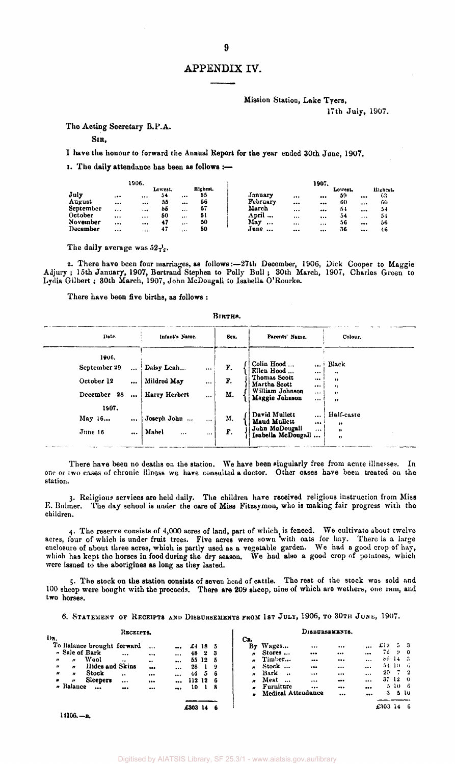#### Mission Station, Lake Tyers, 17th July, 1907.

The Acting Secretary B.P.A.

#### SIR,

I have the honour to forward the Annual Report for the year ended 30th June, 1907.

I. The daily attendance has been as follows :—

|           |          | 1906.    |         |          |          | 1907.                                                     |          |
|-----------|----------|----------|---------|----------|----------|-----------------------------------------------------------|----------|
|           |          |          | Lowest. |          | Highest. | Lowest.                                                   | Highest. |
| July      | . 0.0    | $\cdots$ | 54      |          | 55       | January<br>59<br>$\cdots$<br>$\bullet\bullet\bullet$<br>  | 63       |
| August    | $\cdots$ |          | 55      |          | 56       | February<br>60<br>$\bullet\bullet\bullet$<br><br>$\cdots$ | 60       |
| September | $\cdots$ |          | 55      |          | 57       | March<br>54<br>$\cdots$<br><br>                           | 54       |
| October   |          |          | 50      | $\cdots$ | 51       | April<br>54<br><br><br>$\cdots$                           | 54       |
| November  |          |          | 47      | $\cdots$ | 50       | May<br>56<br>$\cdots$<br><br><br>                         | 56       |
| December  |          | $\cdots$ | 47      | $\cdots$ | 50       | June<br>-36<br><br>$\cdots$<br>                           | 46       |

The daily average was  $52\gamma_x$ .

2. There have been four marriages, as follows:—27th December, 1906, Dick Cooper to Maggie Adjury; 15th January, 1907, Bertrand Stephen to Polly Bull; 30th March, 1907, Charles Green to Lydia Gilbert ; 30th March, 1907, John McDougall to Isabella O'Rourke.

There have been five births, as follows :

#### BIRTHS.

| Date.          |          | Infant's Name.           |          | Sex. | Parents' Name.                       |                       | Colour.                                  |
|----------------|----------|--------------------------|----------|------|--------------------------------------|-----------------------|------------------------------------------|
| 1906.          |          |                          |          |      |                                      |                       |                                          |
| September 29   | $\cdots$ | Daisy Leah               | $\cdots$ | F.   | Colin Hood<br>Ellen Hood             | $\ddotsc$<br>$\cdots$ | Black<br>٠                               |
| October 12     | $\cdots$ | Mildred May              | $\cdots$ | F.   | Thomas Scott<br>Martha Scott         | $\cdots$<br>          | ,,<br>                                   |
| 28<br>December | $\cdots$ | Harry Herbert            | $\cdots$ | M.   | William Johnson<br>Maggie Johnson    | $\cdots$<br>$\cdots$  | $\bullet\bullet$<br>$\ddot{\phantom{1}}$ |
| 1907.          |          |                          |          |      |                                      |                       |                                          |
| May 16         |          | Joseph John<br>$\ddotsc$ | $\cdots$ | М.   | David Mullett<br>Maud Mullett        | $\cdots$<br>          | Half-caste<br>,,                         |
| June 16        |          | Mahel<br>                | $\cdots$ | F.   | John McDougall<br>Isabella McDougall | $\cdots$              | n<br>, ,                                 |

There have been no deaths on the station. We have been singularly free from acute illnesses. In one or two cases of chronic illness we have consulted a doctor. Other cases have been treated on the station.

3. Religious services are held daily. The children have received religious instruction from Miss E. Bulmer. The day school is under the care of Miss Fitzsymon, who is making fair progress with the children.

4. The reserve consists of 4,000 acres of land, part of which, is fenced. We cultivate about twelve acres, four of which is under fruit trees. Five acres were sown with oats for hay. There is a large enclosure of about three acres, which is partly used as a vegetable garden. We had a good crop of hay, which has kept the horses in food during the dry season. We had also a good crop of potatoes, which were issued to the aborigines as long as they lasted.

5. The stock on the station consists of seven head of cattle. The rest of the stock was sold and 100 sheep were bought with the proceeds. There are 209 sheep, uine of which are wethers, one ram, and two horses.

6. STATEMENT OF RECEIPTS AND DISBURSEMENTS FROM 1ST JULY, 1906, TO 30TH JUNE, 1907.

|                                                                  |                               |                                                                | RECEIPTS.                       |                                            |                                  |                            |                           |                        | DISBURSEMENTS.                                                                                                                                                                                                                                                       |               |            |  |  |  |  |  |  |  |  |
|------------------------------------------------------------------|-------------------------------|----------------------------------------------------------------|---------------------------------|--------------------------------------------|----------------------------------|----------------------------|---------------------------|------------------------|----------------------------------------------------------------------------------------------------------------------------------------------------------------------------------------------------------------------------------------------------------------------|---------------|------------|--|--|--|--|--|--|--|--|
| Dx.<br>$^{\prime\prime}$<br>$\boldsymbol{r}$<br>$\boldsymbol{H}$ | - Sale of Bark<br>n<br>n<br>n | To Balance brought forward<br>Wool<br>Hides and Skins<br>Stock | <br>$\bullet\bullet$<br>$\cdot$ | $\cdots$<br><br>$\bullet\bullet$<br>$$<br> | <br>$\cdots$<br>$\cdots$<br><br> | £4<br>48<br>55<br>28<br>44 | 18<br>$\bf{2}$<br>12<br>5 | 5<br>-3<br>5<br>9<br>6 | Cв.<br>£19<br>Wages<br>Вy<br>$\cdots$<br><br>$\cdots$<br>76.<br>Stores<br>n<br><br>$\cdots$<br>$\cdots$<br>$86 - 14 = 3$<br>Timber<br>n<br><br><br><br>54, 10, 6<br>Stock<br>Ħ<br><br><br>$\cdots$<br>20<br>Bark<br>$\ddot{\bullet}$<br>$\boldsymbol{r}$<br><br><br> | -94<br>$-7-2$ | - 3<br>- 0 |  |  |  |  |  |  |  |  |
| $\pmb{v}$                                                        | $\boldsymbol{r}$<br>Balance   | <b>Sicepers</b><br>                                            | <br>                            | <br>                                       | <br>                             | 112<br>10<br>£303          | 12                        | 6<br>-8                | 37120<br>Meat<br>$\ddotsc$<br><br>n<br>$\cdots$<br><br>Furniture<br>510 6<br><br><br><br>o<br><b>Medical Attendance</b><br>З.<br><br><br>£303                                                                                                                        | 510           | - 6        |  |  |  |  |  |  |  |  |

**14106.-B.**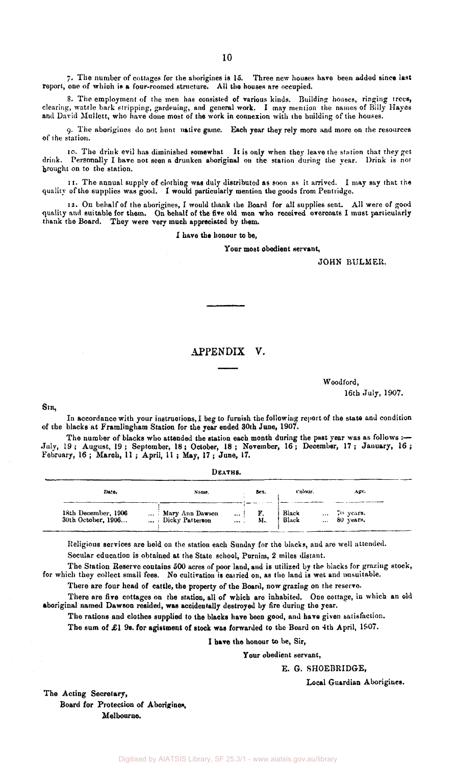7. The number of cottages for the aborigines is 15. Three new houses have been added since last report, one of which is a four-roomed structure. All the houses are occupied.

8. The employment of the men has consisted of various kinds. Building houses, ringing trees, clearing, wattle bark stripping, gardening, and general work. I may mention the names of Billy Hayes and David Mullett, who have done most of the work in connexion with the building of the houses.

9. The aborigines do not hunt native game. Each year they rely more and more on the resources of the station.

10. The drink evil has diminished somewhat It is only when they leave the station that they get drink. Personally I have not seen a drunken aboriginal on the station during the year. Drink is not brought on to the station.

11. The annual supply of clothing was duly distributed as soon as it arrived. I may say that the quality of the supplies was good. I would particularly mention the goods from Pentridge.

12. On behalf of the aborigines, I would thank the Board for all supplies sent. All were of good quality and suitable for them. On behalf of the five old men who received overcoats I must particularly thank the Board. They were very much appreciated by them.

I have the honour to be,

Your most obedient servant.

JOHN BULMER.

### APPENDIX V.

#### Woodford, 16th July, 1907.

SIR,

In accordance with your instructions, I beg to furnish the following report of the state and condition of the blacks at Framlingham Station for the year ended 30th June, 1907.

The number of blacks who attended the station each month during the past year was as follows :-July, 19; August, 19; September, 18; October, 18; November, 16; December, 17; January, 16 ; February, 16 ; March, 11 ; April, 11 ; May, 17 ; June, 17.

| DEATHS. |  |
|---------|--|
|         |  |

| Date.                                     | Name.                                                      | Sex. | Colour.        | Age.                                     |  |
|-------------------------------------------|------------------------------------------------------------|------|----------------|------------------------------------------|--|
| 18th December, 1906<br>30th October, 1906 | Mary Ann Dawson<br>$\cdots$<br>Dicky Patterson<br>$\cdots$ | M.   | Black<br>Black | $\ldots$ 70 years.<br>$\ldots$ 80 years. |  |

Religions services are held on the station each Sunday for the blacks, and are well attended. Secular education is obtained at the State school, Purnim, 2 miles distant.

The Station Reserve contains 500 acres of poor land, and is utilized by the blacks for grazing stock, for which they collect small fees. No cultivation is carried on, as the land is wet and unsuitable.

There are four head of cattle, the property of the Board, now grazing on the reserve.

There are five cottages on the station, all of which are inhabited. One cottage, in which an old aboriginal named Dawson resided, was accidentally destroyed by fire during the year.

The rations and clothes supplied to the blacks have been good, and have given satisfaction.

The sum of £1 9s. for agistment of stock was forwarded to the Board on 4th April, 1907.

I hare the honour to be, Sir,

Your obedient servant,

E. G. SH0EBRIDGE,

Local Guardian Aborigines.

The Acting Secretary, Board for Protection of Aborigines

Melbourne.